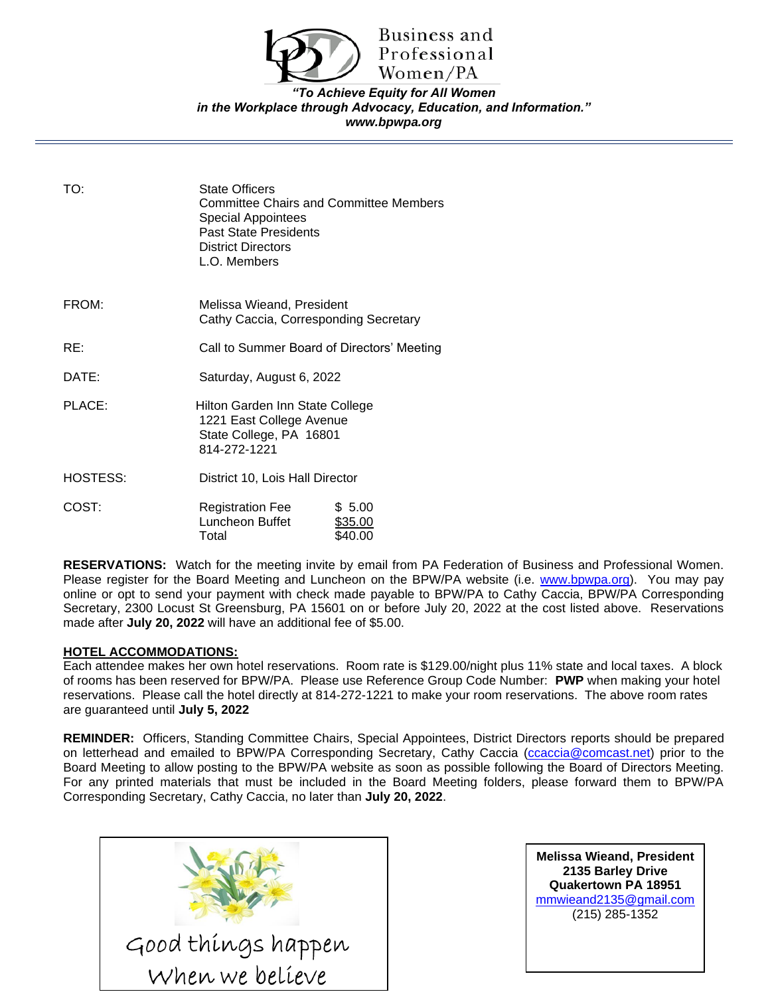

Business and Professional Women/PA

## *"To Achieve Equity for All Women in the Workplace through Advocacy, Education, and Information." www.bpwpa.org*

TO: State Officers Committee Chairs and Committee Members Special Appointees Past State Presidents District Directors L.O. Members FROM: Melissa Wieand, President Cathy Caccia, Corresponding Secretary RE: Call to Summer Board of Directors' Meeting DATE: Saturday, August 6, 2022 PLACE: Hilton Garden Inn State College 1221 East College Avenue State College, PA 16801 814-272-1221 HOSTESS: District 10, Lois Hall Director COST: Registration Fee \$ 5.00 Luncheon Buffet \$35.00 Total \$40.00

**RESERVATIONS:** Watch for the meeting invite by email from PA Federation of Business and Professional Women. Please register for the Board Meeting and Luncheon on the BPW/PA website (i.e. [www.bpwpa.org\)](http://www.bpwpa.org/). You may pay online or opt to send your payment with check made payable to BPW/PA to Cathy Caccia, BPW/PA Corresponding Secretary, 2300 Locust St Greensburg, PA 15601 on or before July 20, 2022 at the cost listed above. Reservations made after **July 20, 2022** will have an additional fee of \$5.00.

## **HOTEL ACCOMMODATIONS:**

Each attendee makes her own hotel reservations. Room rate is \$129.00/night plus 11% state and local taxes. A block of rooms has been reserved for BPW/PA. Please use Reference Group Code Number: **PWP** when making your hotel reservations. Please call the hotel directly at 814-272-1221 to make your room reservations. The above room rates are guaranteed until **July 5, 2022**

**REMINDER:** Officers, Standing Committee Chairs, Special Appointees, District Directors reports should be prepared on letterhead and emailed to BPW/PA Corresponding Secretary, Cathy Caccia [\(ccaccia@comcast.net\)](mailto:ccaccia@comcast.net) prior to the Board Meeting to allow posting to the BPW/PA website as soon as possible following the Board of Directors Meeting. For any printed materials that must be included in the Board Meeting folders, please forward them to BPW/PA Corresponding Secretary, Cathy Caccia, no later than **July 20, 2022**.



**Melissa Wieand, President 2135 Barley Drive Quakertown PA 18951** [mmwieand2135@gmail.com](mailto:mmwieand2135@gmail.com)  (215) 285-1352